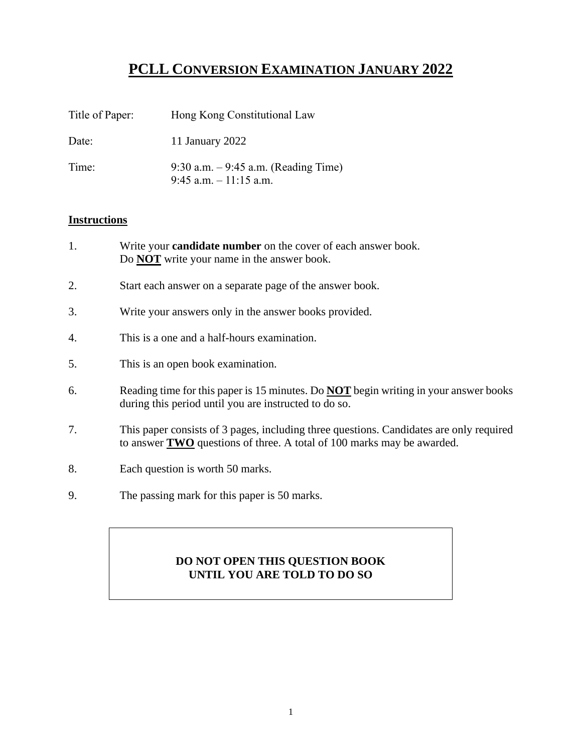# **PCLL CONVERSION EXAMINATION JANUARY 2022**

| Title of Paper: | Hong Kong Constitutional Law                                      |
|-----------------|-------------------------------------------------------------------|
| Date:           | 11 January 2022                                                   |
| Time:           | 9:30 a.m. $-$ 9:45 a.m. (Reading Time)<br>9:45 a.m. $-11:15$ a.m. |

#### **Instructions**

- 1. Write your **candidate number** on the cover of each answer book. Do **NOT** write your name in the answer book.
- 2. Start each answer on a separate page of the answer book.
- 3. Write your answers only in the answer books provided.
- 4. This is a one and a half-hours examination.
- 5. This is an open book examination.
- 6. Reading time for this paper is 15 minutes. Do **NOT** begin writing in your answer books during this period until you are instructed to  $\overline{\text{do so}}$ .
- 7. This paper consists of 3 pages, including three questions. Candidates are only required to answer **TWO** questions of three. A total of 100 marks may be awarded.
- 8. Each question is worth 50 marks.
- 9. The passing mark for this paper is 50 marks.

## **DO NOT OPEN THIS QUESTION BOOK UNTIL YOU ARE TOLD TO DO SO**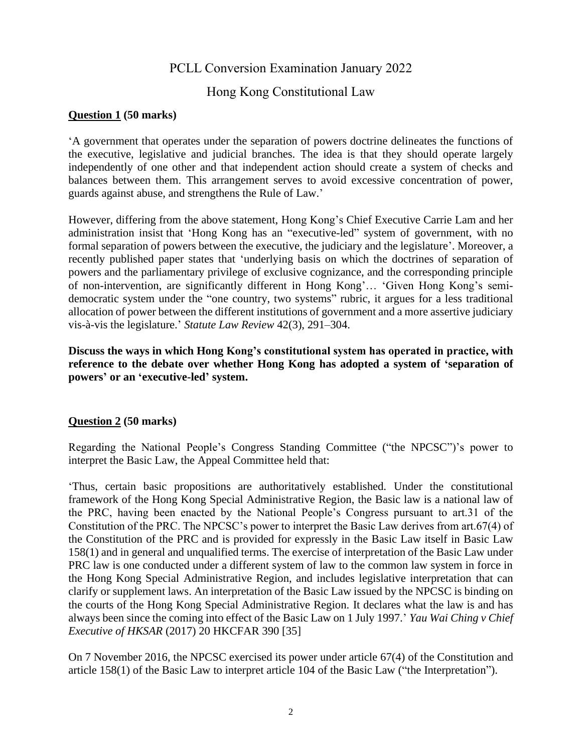# PCLL Conversion Examination January 2022

# Hong Kong Constitutional Law

## **Question 1 (50 marks)**

'A government that operates under the separation of powers doctrine delineates the functions of the executive, legislative and judicial branches. The idea is that they should operate largely independently of one other and that independent action should create a system of checks and balances between them. This arrangement serves to avoid excessive concentration of power, guards against abuse, and strengthens the Rule of Law.'

However, differing from the above statement, Hong Kong's Chief Executive Carrie Lam and her administration insist [that 'Hong Kong has an "executive-led"](https://hongkongfp.com/2020/09/07/justice-sec-says-hong-kong-has-an-executive-led-political-system-in-row-over-separation-of-powers/) system of government, with no [formal separation of powers between the executive, the judiciary and the legislature'.](https://hongkongfp.com/2020/09/07/justice-sec-says-hong-kong-has-an-executive-led-political-system-in-row-over-separation-of-powers/) Moreover, a recently published paper states that 'underlying basis on which the doctrines of separation of powers and the parliamentary privilege of exclusive cognizance, and the corresponding principle of non-intervention, are significantly different in Hong Kong'… 'Given Hong Kong's semidemocratic system under the "one country, two systems" rubric, it argues for a less traditional allocation of power between the different institutions of government and a more assertive judiciary vis-à-vis the legislature.' *Statute Law Review* 42(3), 291–304.

**Discuss the ways in which Hong Kong's constitutional system has operated in practice, with reference to the debate over whether Hong Kong has adopted a system of 'separation of powers' or an 'executive-led' system.**

## **Question 2 (50 marks)**

Regarding the National People's Congress Standing Committee ("the NPCSC")'s power to interpret the Basic Law, the Appeal Committee held that:

'Thus, certain basic propositions are authoritatively established. Under the constitutional framework of the Hong Kong Special Administrative Region, the Basic law is a national law of the PRC, having been enacted by the National People's Congress pursuant to art.31 of the Constitution of the PRC. The NPCSC's power to interpret the Basic Law derives from art.67(4) of the Constitution of the PRC and is provided for expressly in the Basic Law itself in Basic Law 158(1) and in general and unqualified terms. The exercise of interpretation of the Basic Law under PRC law is one conducted under a different system of law to the common law system in force in the Hong Kong Special Administrative Region, and includes legislative interpretation that can clarify or supplement laws. An interpretation of the Basic Law issued by the NPCSC is binding on the courts of the Hong Kong Special Administrative Region. It declares what the law is and has always been since the coming into effect of the Basic Law on 1 July 1997.' *Yau Wai Ching v Chief Executive of HKSAR* (2017) 20 HKCFAR 390 [35]

On 7 November 2016, the NPCSC exercised its power under article 67(4) of the Constitution and article 158(1) of the Basic Law to interpret article 104 of the Basic Law ("the Interpretation").